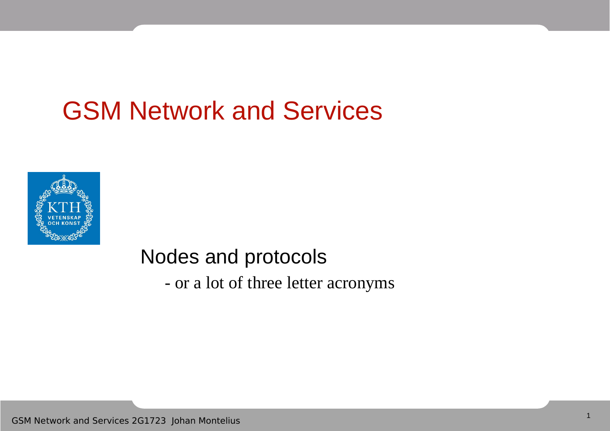#### GSM Network and Services



#### Nodes and protocols

- or a lot of three letter acronyms

GSM Network and Services 2G1723 Johan Montelius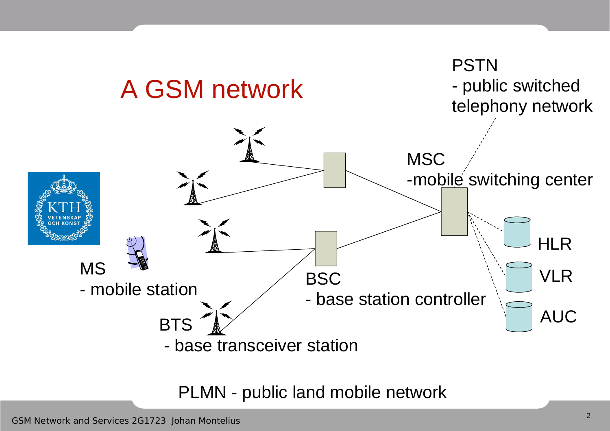

PLMN - public land mobile network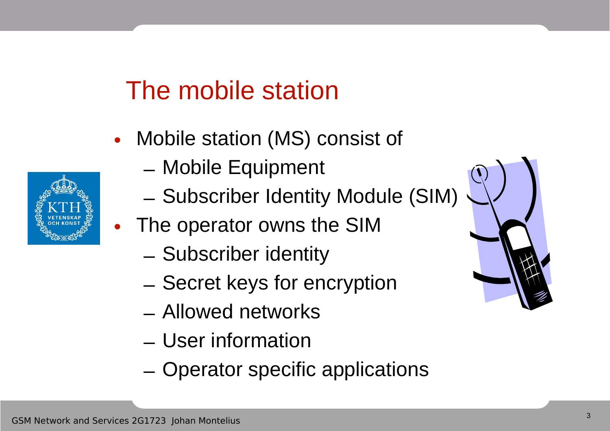# The mobile station

- Mobile station (MS) consist of
	- Mobile Equipment
	- Subscriber Identity Module (SIM)
	- The operator owns the SIM
		- Subscriber identity
		- Secret keys for encryption
		- Allowed networks
		- User information
		- Operator specific applications



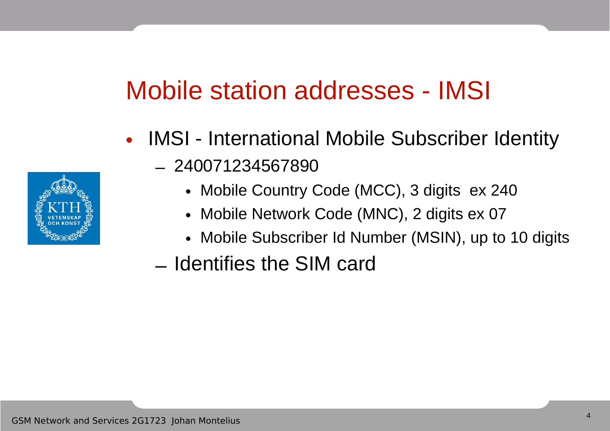# Mobile station addresses - IMSI

- IMSI International Mobile Subscriber Identity – 240071234567890
	- Mobile Country Code (MCC), 3 digits ex 240
	- Mobile Network Code (MNC), 2 digits ex 07
	- Mobile Subscriber Id Number (MSIN), up to 10 digits
	- Identifies the SIM card

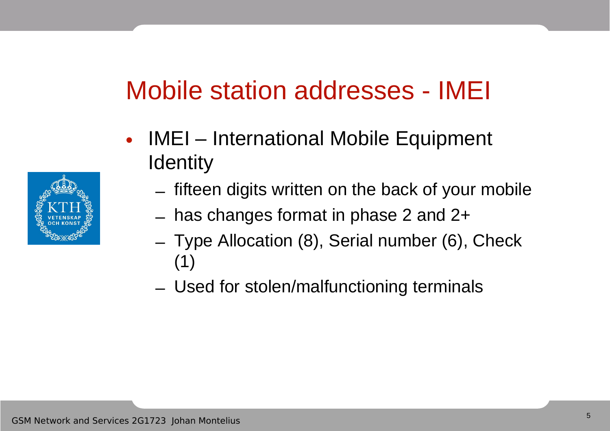# Mobile station addresses - IMEI

- IMEI International Mobile Equipment **Identity** 
	- fifteen digits written on the back of your mobile
	- has changes format in phase 2 and 2+
	- Type Allocation (8), Serial number (6), Check (1)
	- Used for stolen/malfunctioning terminals

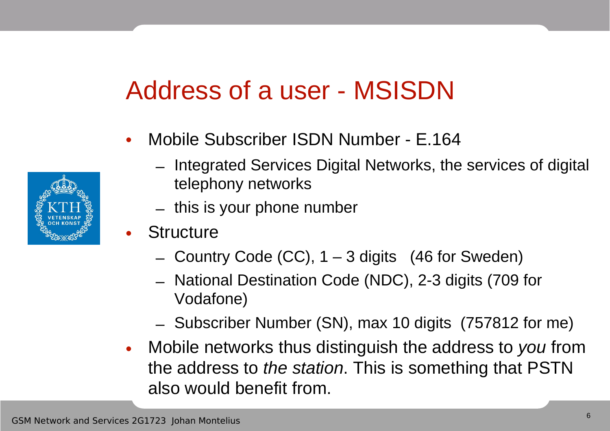## Address of a user - MSISDN



- Mobile Subscriber ISDN Number E.164
	- Integrated Services Digital Networks, the services of digital telephony networks
	- this is your phone number
- **Structure** 
	- $-$  Country Code (CC),  $1 3$  digits (46 for Sweden)
	- National Destination Code (NDC), 2-3 digits (709 for Vodafone)
	- Subscriber Number (SN), max 10 digits (757812 for me)
- Mobile networks thus distinguish the address to you from the address to the station. This is something that PSTN also would benefit from.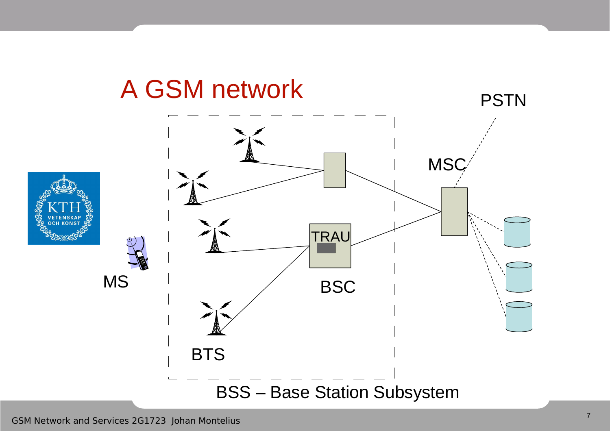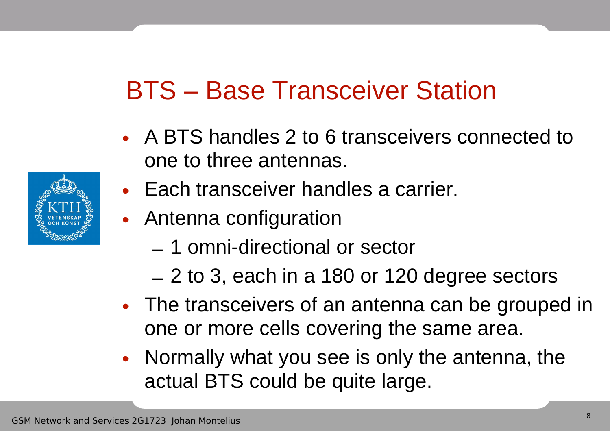# BTS – Base Transceiver Station

- A BTS handles 2 to 6 transceivers connected to one to three antennas.
- Each transceiver handles a carrier.
- Antenna configuration
	- 1 omni-directional or sector
	- 2 to 3, each in a 180 or 120 degree sectors
- The transceivers of an antenna can be grouped in one or more cells covering the same area.
- Normally what you see is only the antenna, the actual BTS could be quite large.

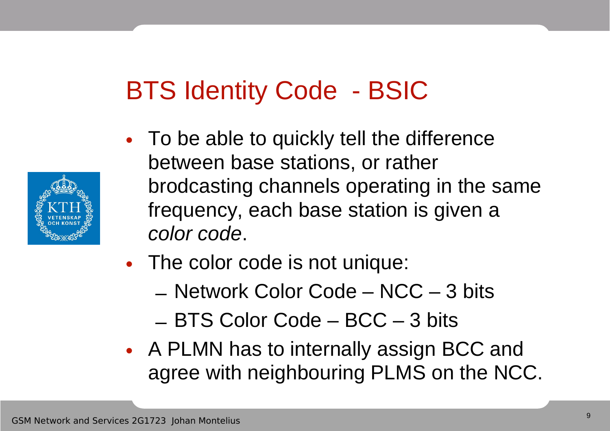# BTS Identity Code - BSIC

- 
- To be able to quickly tell the difference between base stations, or rather brodcasting channels operating in the same frequency, each base station is given a color code.
- The color code is not unique:
	- Network Color Code NCC 3 bits
	- BTS Color Code BCC 3 bits
- A PLMN has to internally assign BCC and agree with neighbouring PLMS on the NCC.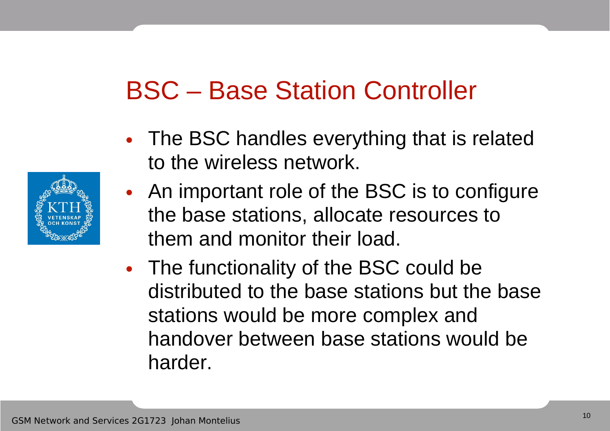## BSC – Base Station Controller

- The BSC handles everything that is related to the wireless network.
- An important role of the BSC is to configure the base stations, allocate resources to them and monitor their load.
- The functionality of the BSC could be distributed to the base stations but the base stations would be more complex and handover between base stations would be harder.

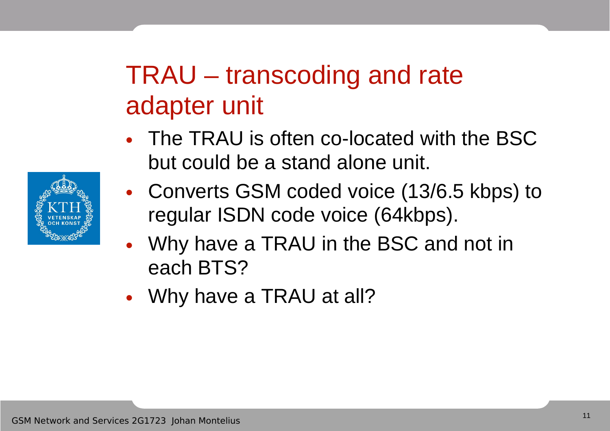# TRAU – transcoding and rate adapter unit

- The TRAU is often co-located with the BSC but could be a stand alone unit.
- Converts GSM coded voice (13/6.5 kbps) to regular ISDN code voice (64kbps).
- Why have a TRAU in the BSC and not in each BTS?
- Why have a TRAU at all?

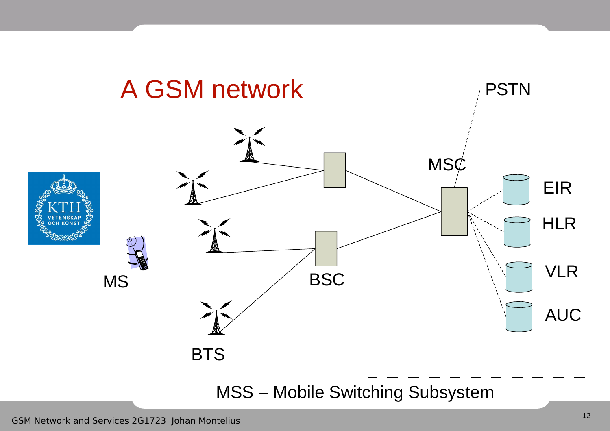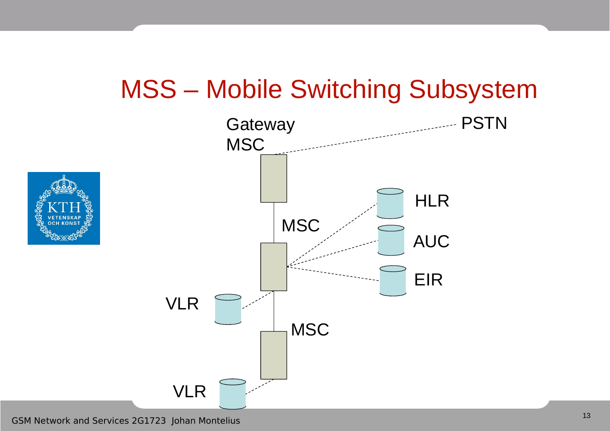#### MSS – Mobile Switching Subsystem

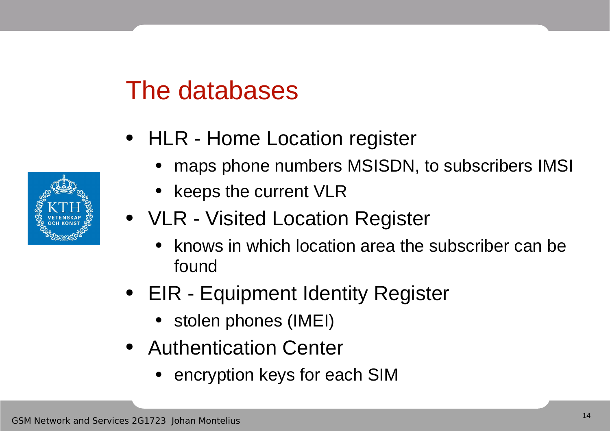#### The databases

- HLR Home Location register
	- maps phone numbers MSISDN, to subscribers IMSI
	- keeps the current VLR
- VLR Visited Location Register
	- knows in which location area the subscriber can be found
- EIR Equipment Identity Register
	- stolen phones (IMEI)
- Authentication Center
	- encryption keys for each SIM

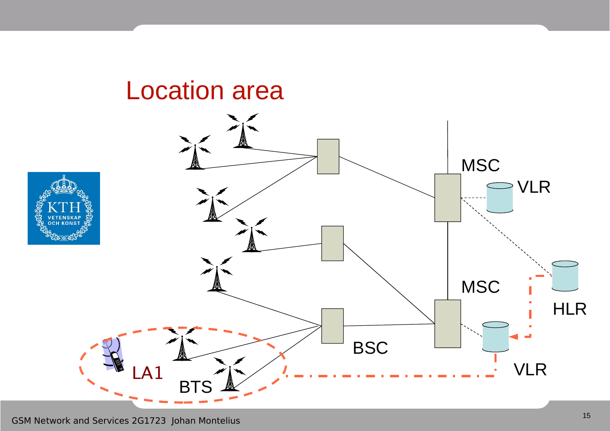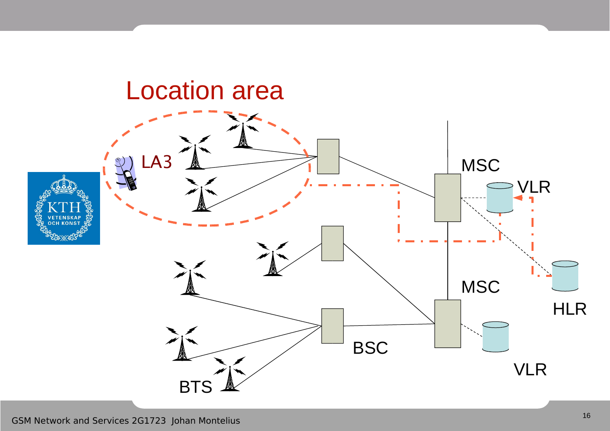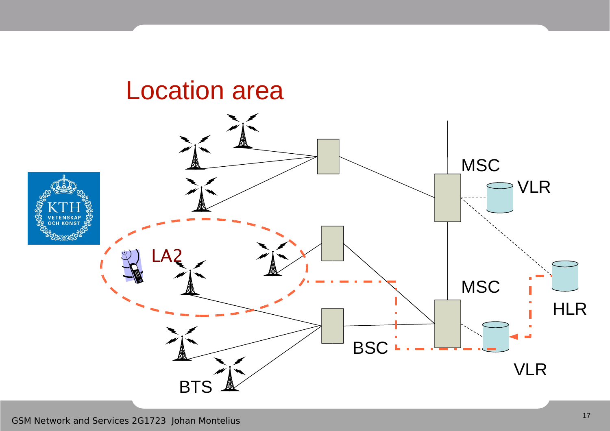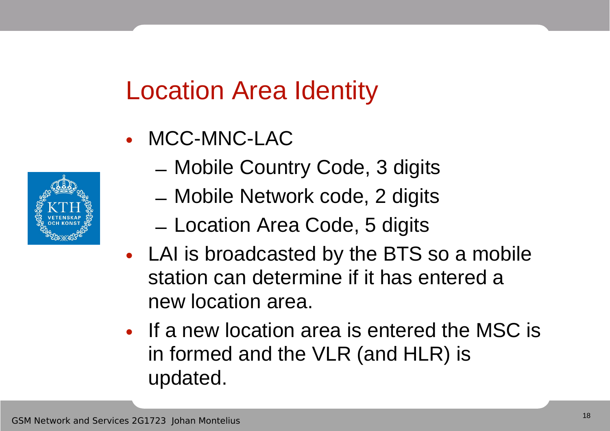## Location Area Identity

- MCC-MNC-LAC
- 
- Mobile Country Code, 3 digits
- Mobile Network code, 2 digits
- Location Area Code, 5 digits
- LAI is broadcasted by the BTS so a mobile station can determine if it has entered a new location area.
- If a new location area is entered the MSC is in formed and the VLR (and HLR) is updated.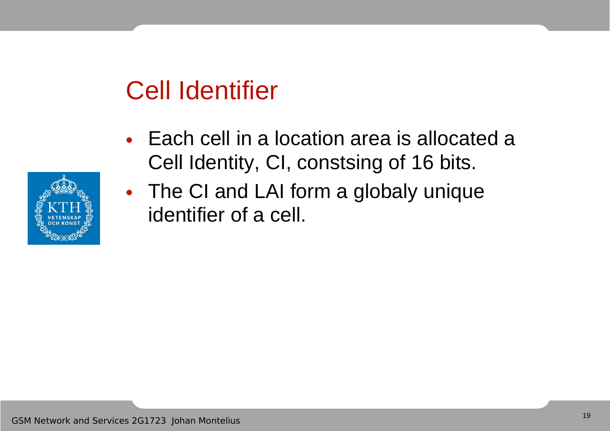# Cell Identifier

- Each cell in a location area is allocated a Cell Identity, CI, constsing of 16 bits.
- The CI and LAI form a globaly unique identifier of a cell.

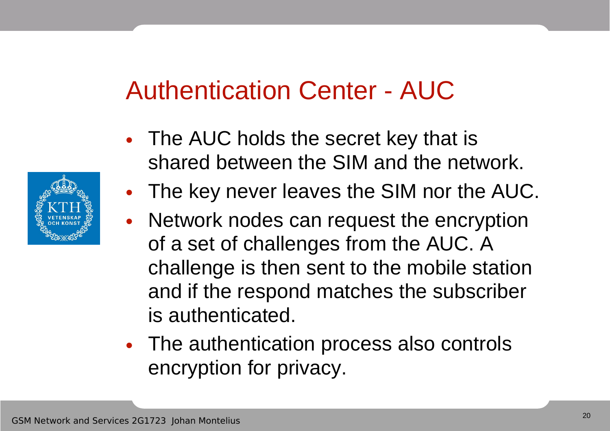#### Authentication Center - AUC

- The AUC holds the secret key that is shared between the SIM and the network.
- The key never leaves the SIM nor the AUC.
- Network nodes can request the encryption of a set of challenges from the AUC. A challenge is then sent to the mobile station and if the respond matches the subscriber is authenticated.
- The authentication process also controls encryption for privacy.

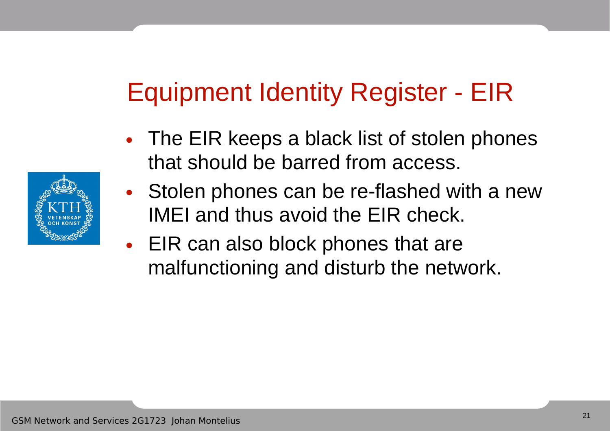# Equipment Identity Register - EIR

- The EIR keeps a black list of stolen phones that should be barred from access.
- Stolen phones can be re-flashed with a new IMEI and thus avoid the EIR check.
- EIR can also block phones that are malfunctioning and disturb the network.

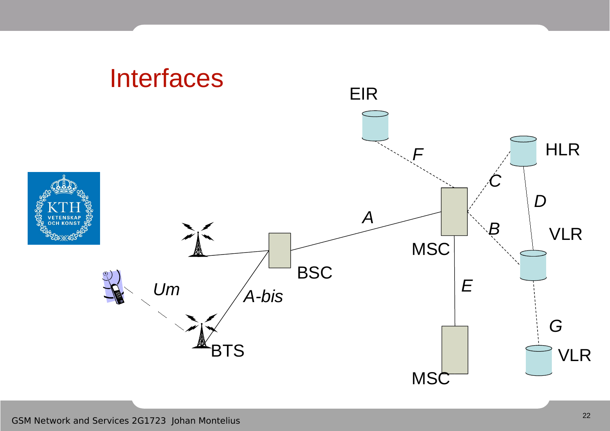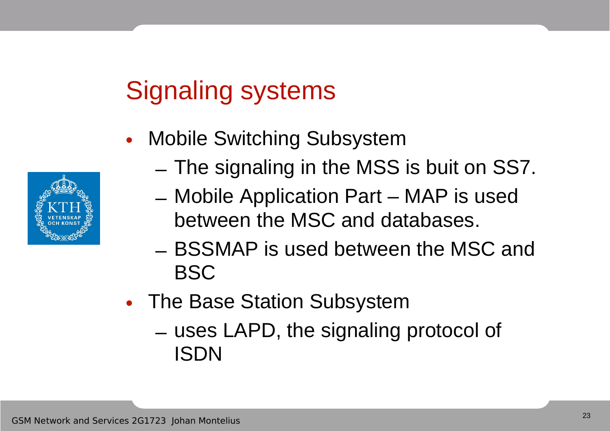# Signaling systems

- Mobile Switching Subsystem
	- The signaling in the MSS is buit on SS7.
	- Mobile Application Part MAP is used between the MSC and databases.
	- BSSMAP is used between the MSC and BSC
- The Base Station Subsystem
	- uses LAPD, the signaling protocol of ISDN

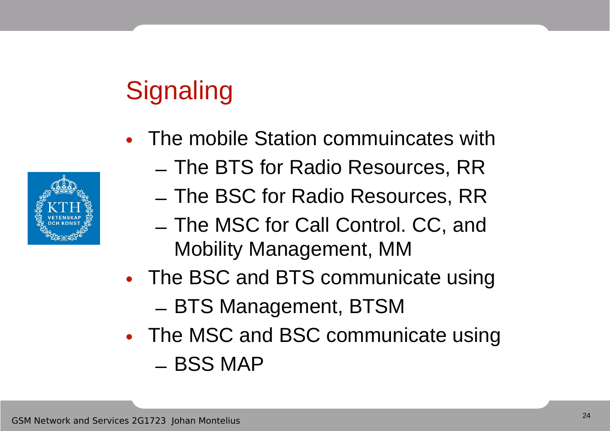# **Signaling**



- The mobile Station commuincates with
	- The BTS for Radio Resources, RR
	- The BSC for Radio Resources, RR
	- The MSC for Call Control. CC, and Mobility Management, MM
- The BSC and BTS communicate using – BTS Management, BTSM
- The MSC and BSC communicate using – BSS MAP